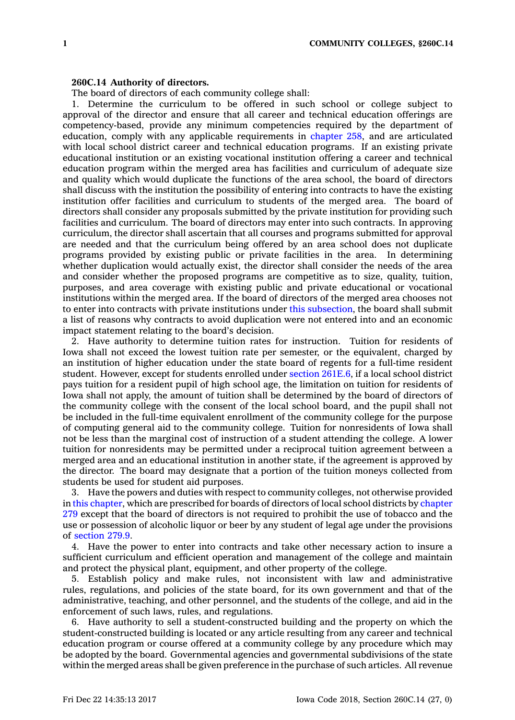## **260C.14 Authority of directors.**

The board of directors of each community college shall:

1. Determine the curriculum to be offered in such school or college subject to approval of the director and ensure that all career and technical education offerings are competency-based, provide any minimum competencies required by the department of education, comply with any applicable requirements in [chapter](https://www.legis.iowa.gov/docs/code//258.pdf) 258, and are articulated with local school district career and technical education programs. If an existing private educational institution or an existing vocational institution offering <sup>a</sup> career and technical education program within the merged area has facilities and curriculum of adequate size and quality which would duplicate the functions of the area school, the board of directors shall discuss with the institution the possibility of entering into contracts to have the existing institution offer facilities and curriculum to students of the merged area. The board of directors shall consider any proposals submitted by the private institution for providing such facilities and curriculum. The board of directors may enter into such contracts. In approving curriculum, the director shall ascertain that all courses and programs submitted for approval are needed and that the curriculum being offered by an area school does not duplicate programs provided by existing public or private facilities in the area. In determining whether duplication would actually exist, the director shall consider the needs of the area and consider whether the proposed programs are competitive as to size, quality, tuition, purposes, and area coverage with existing public and private educational or vocational institutions within the merged area. If the board of directors of the merged area chooses not to enter into contracts with private institutions under this [subsection](https://www.legis.iowa.gov/docs/code/260C.14.pdf), the board shall submit <sup>a</sup> list of reasons why contracts to avoid duplication were not entered into and an economic impact statement relating to the board's decision.

2. Have authority to determine tuition rates for instruction. Tuition for residents of Iowa shall not exceed the lowest tuition rate per semester, or the equivalent, charged by an institution of higher education under the state board of regents for <sup>a</sup> full-time resident student. However, except for students enrolled under section [261E.6](https://www.legis.iowa.gov/docs/code/261E.6.pdf), if <sup>a</sup> local school district pays tuition for <sup>a</sup> resident pupil of high school age, the limitation on tuition for residents of Iowa shall not apply, the amount of tuition shall be determined by the board of directors of the community college with the consent of the local school board, and the pupil shall not be included in the full-time equivalent enrollment of the community college for the purpose of computing general aid to the community college. Tuition for nonresidents of Iowa shall not be less than the marginal cost of instruction of <sup>a</sup> student attending the college. A lower tuition for nonresidents may be permitted under <sup>a</sup> reciprocal tuition agreement between <sup>a</sup> merged area and an educational institution in another state, if the agreement is approved by the director. The board may designate that <sup>a</sup> portion of the tuition moneys collected from students be used for student aid purposes.

3. Have the powers and duties with respect to community colleges, not otherwise provided in this [chapter](https://www.legis.iowa.gov/docs/code//260C.pdf), which are prescribed for boards of directors of local school districts by [chapter](https://www.legis.iowa.gov/docs/code//279.pdf) [279](https://www.legis.iowa.gov/docs/code//279.pdf) except that the board of directors is not required to prohibit the use of tobacco and the use or possession of alcoholic liquor or beer by any student of legal age under the provisions of [section](https://www.legis.iowa.gov/docs/code/279.9.pdf) 279.9.

4. Have the power to enter into contracts and take other necessary action to insure <sup>a</sup> sufficient curriculum and efficient operation and management of the college and maintain and protect the physical plant, equipment, and other property of the college.

5. Establish policy and make rules, not inconsistent with law and administrative rules, regulations, and policies of the state board, for its own government and that of the administrative, teaching, and other personnel, and the students of the college, and aid in the enforcement of such laws, rules, and regulations.

6. Have authority to sell <sup>a</sup> student-constructed building and the property on which the student-constructed building is located or any article resulting from any career and technical education program or course offered at <sup>a</sup> community college by any procedure which may be adopted by the board. Governmental agencies and governmental subdivisions of the state within the merged areas shall be given preference in the purchase of such articles. All revenue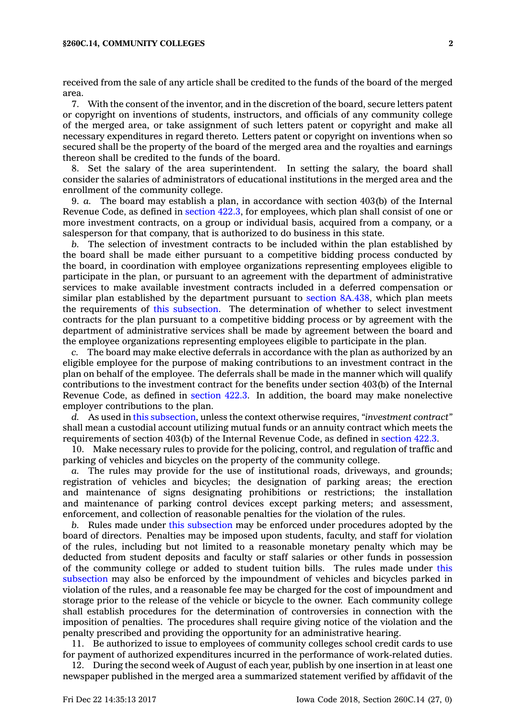## **§260C.14, COMMUNITY COLLEGES 2**

received from the sale of any article shall be credited to the funds of the board of the merged area.

7. With the consent of the inventor, and in the discretion of the board, secure letters patent or copyright on inventions of students, instructors, and officials of any community college of the merged area, or take assignment of such letters patent or copyright and make all necessary expenditures in regard thereto. Letters patent or copyright on inventions when so secured shall be the property of the board of the merged area and the royalties and earnings thereon shall be credited to the funds of the board.

8. Set the salary of the area superintendent. In setting the salary, the board shall consider the salaries of administrators of educational institutions in the merged area and the enrollment of the community college.

9. *a.* The board may establish <sup>a</sup> plan, in accordance with section 403(b) of the Internal Revenue Code, as defined in [section](https://www.legis.iowa.gov/docs/code/422.3.pdf) 422.3, for employees, which plan shall consist of one or more investment contracts, on <sup>a</sup> group or individual basis, acquired from <sup>a</sup> company, or <sup>a</sup> salesperson for that company, that is authorized to do business in this state.

*b.* The selection of investment contracts to be included within the plan established by the board shall be made either pursuant to <sup>a</sup> competitive bidding process conducted by the board, in coordination with employee organizations representing employees eligible to participate in the plan, or pursuant to an agreement with the department of administrative services to make available investment contracts included in <sup>a</sup> deferred compensation or similar plan established by the department pursuant to section [8A.438](https://www.legis.iowa.gov/docs/code/8A.438.pdf), which plan meets the requirements of this [subsection](https://www.legis.iowa.gov/docs/code/260C.14.pdf). The determination of whether to select investment contracts for the plan pursuant to <sup>a</sup> competitive bidding process or by agreement with the department of administrative services shall be made by agreement between the board and the employee organizations representing employees eligible to participate in the plan.

*c.* The board may make elective deferrals in accordance with the plan as authorized by an eligible employee for the purpose of making contributions to an investment contract in the plan on behalf of the employee. The deferrals shall be made in the manner which will qualify contributions to the investment contract for the benefits under section 403(b) of the Internal Revenue Code, as defined in [section](https://www.legis.iowa.gov/docs/code/422.3.pdf) 422.3. In addition, the board may make nonelective employer contributions to the plan.

*d.* As used in this [subsection](https://www.legis.iowa.gov/docs/code/260C.14.pdf), unless the context otherwise requires, *"investment contract"* shall mean <sup>a</sup> custodial account utilizing mutual funds or an annuity contract which meets the requirements of section 403(b) of the Internal Revenue Code, as defined in [section](https://www.legis.iowa.gov/docs/code/422.3.pdf) 422.3.

10. Make necessary rules to provide for the policing, control, and regulation of traffic and parking of vehicles and bicycles on the property of the community college.

*a.* The rules may provide for the use of institutional roads, driveways, and grounds; registration of vehicles and bicycles; the designation of parking areas; the erection and maintenance of signs designating prohibitions or restrictions; the installation and maintenance of parking control devices except parking meters; and assessment, enforcement, and collection of reasonable penalties for the violation of the rules.

*b.* Rules made under this [subsection](https://www.legis.iowa.gov/docs/code/260C.14.pdf) may be enforced under procedures adopted by the board of directors. Penalties may be imposed upon students, faculty, and staff for violation of the rules, including but not limited to <sup>a</sup> reasonable monetary penalty which may be deducted from student deposits and faculty or staff salaries or other funds in possession of the community college or added to student tuition bills. The rules made under [this](https://www.legis.iowa.gov/docs/code/260C.14.pdf) [subsection](https://www.legis.iowa.gov/docs/code/260C.14.pdf) may also be enforced by the impoundment of vehicles and bicycles parked in violation of the rules, and <sup>a</sup> reasonable fee may be charged for the cost of impoundment and storage prior to the release of the vehicle or bicycle to the owner. Each community college shall establish procedures for the determination of controversies in connection with the imposition of penalties. The procedures shall require giving notice of the violation and the penalty prescribed and providing the opportunity for an administrative hearing.

11. Be authorized to issue to employees of community colleges school credit cards to use for payment of authorized expenditures incurred in the performance of work-related duties.

12. During the second week of August of each year, publish by one insertion in at least one newspaper published in the merged area <sup>a</sup> summarized statement verified by affidavit of the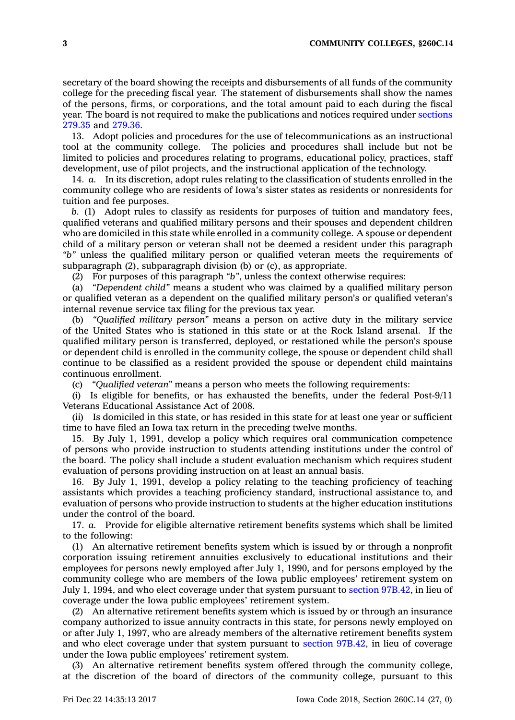secretary of the board showing the receipts and disbursements of all funds of the community college for the preceding fiscal year. The statement of disbursements shall show the names of the persons, firms, or corporations, and the total amount paid to each during the fiscal year. The board is not required to make the publications and notices required under [sections](https://www.legis.iowa.gov/docs/code/279.35.pdf) [279.35](https://www.legis.iowa.gov/docs/code/279.35.pdf) and [279.36](https://www.legis.iowa.gov/docs/code/279.36.pdf).

13. Adopt policies and procedures for the use of telecommunications as an instructional tool at the community college. The policies and procedures shall include but not be limited to policies and procedures relating to programs, educational policy, practices, staff development, use of pilot projects, and the instructional application of the technology.

14. *a.* In its discretion, adopt rules relating to the classification of students enrolled in the community college who are residents of Iowa's sister states as residents or nonresidents for tuition and fee purposes.

*b.* (1) Adopt rules to classify as residents for purposes of tuition and mandatory fees, qualified veterans and qualified military persons and their spouses and dependent children who are domiciled in this state while enrolled in <sup>a</sup> community college. A spouse or dependent child of <sup>a</sup> military person or veteran shall not be deemed <sup>a</sup> resident under this paragraph *"b"* unless the qualified military person or qualified veteran meets the requirements of subparagraph (2), subparagraph division (b) or (c), as appropriate.

(2) For purposes of this paragraph *"b"*, unless the context otherwise requires:

(a) *"Dependent child"* means <sup>a</sup> student who was claimed by <sup>a</sup> qualified military person or qualified veteran as <sup>a</sup> dependent on the qualified military person's or qualified veteran's internal revenue service tax filing for the previous tax year.

(b) *"Qualified military person"* means <sup>a</sup> person on active duty in the military service of the United States who is stationed in this state or at the Rock Island arsenal. If the qualified military person is transferred, deployed, or restationed while the person's spouse or dependent child is enrolled in the community college, the spouse or dependent child shall continue to be classified as <sup>a</sup> resident provided the spouse or dependent child maintains continuous enrollment.

(c) *"Qualified veteran"* means <sup>a</sup> person who meets the following requirements:

(i) Is eligible for benefits, or has exhausted the benefits, under the federal Post-9/11 Veterans Educational Assistance Act of 2008.

(ii) Is domiciled in this state, or has resided in this state for at least one year or sufficient time to have filed an Iowa tax return in the preceding twelve months.

15. By July 1, 1991, develop <sup>a</sup> policy which requires oral communication competence of persons who provide instruction to students attending institutions under the control of the board. The policy shall include <sup>a</sup> student evaluation mechanism which requires student evaluation of persons providing instruction on at least an annual basis.

16. By July 1, 1991, develop <sup>a</sup> policy relating to the teaching proficiency of teaching assistants which provides <sup>a</sup> teaching proficiency standard, instructional assistance to, and evaluation of persons who provide instruction to students at the higher education institutions under the control of the board.

17. *a.* Provide for eligible alternative retirement benefits systems which shall be limited to the following:

(1) An alternative retirement benefits system which is issued by or through <sup>a</sup> nonprofit corporation issuing retirement annuities exclusively to educational institutions and their employees for persons newly employed after July 1, 1990, and for persons employed by the community college who are members of the Iowa public employees' retirement system on July 1, 1994, and who elect coverage under that system pursuant to section [97B.42](https://www.legis.iowa.gov/docs/code/97B.42.pdf), in lieu of coverage under the Iowa public employees' retirement system.

(2) An alternative retirement benefits system which is issued by or through an insurance company authorized to issue annuity contracts in this state, for persons newly employed on or after July 1, 1997, who are already members of the alternative retirement benefits system and who elect coverage under that system pursuant to section [97B.42](https://www.legis.iowa.gov/docs/code/97B.42.pdf), in lieu of coverage under the Iowa public employees' retirement system.

(3) An alternative retirement benefits system offered through the community college, at the discretion of the board of directors of the community college, pursuant to this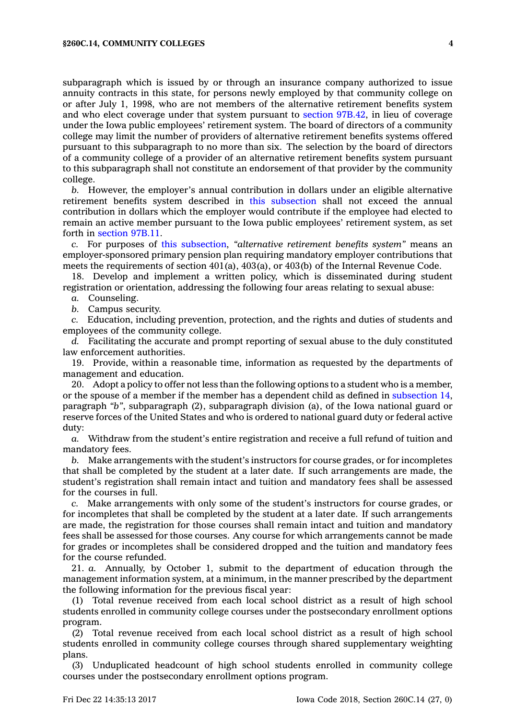subparagraph which is issued by or through an insurance company authorized to issue annuity contracts in this state, for persons newly employed by that community college on or after July 1, 1998, who are not members of the alternative retirement benefits system and who elect coverage under that system pursuant to section [97B.42](https://www.legis.iowa.gov/docs/code/97B.42.pdf), in lieu of coverage under the Iowa public employees' retirement system. The board of directors of <sup>a</sup> community college may limit the number of providers of alternative retirement benefits systems offered pursuant to this subparagraph to no more than six. The selection by the board of directors of <sup>a</sup> community college of <sup>a</sup> provider of an alternative retirement benefits system pursuant to this subparagraph shall not constitute an endorsement of that provider by the community college.

*b.* However, the employer's annual contribution in dollars under an eligible alternative retirement benefits system described in this [subsection](https://www.legis.iowa.gov/docs/code/260C.14.pdf) shall not exceed the annual contribution in dollars which the employer would contribute if the employee had elected to remain an active member pursuant to the Iowa public employees' retirement system, as set forth in [section](https://www.legis.iowa.gov/docs/code/97B.11.pdf) 97B.11.

*c.* For purposes of this [subsection](https://www.legis.iowa.gov/docs/code/260C.14.pdf), *"alternative retirement benefits system"* means an employer-sponsored primary pension plan requiring mandatory employer contributions that meets the requirements of section 401(a), 403(a), or 403(b) of the Internal Revenue Code.

18. Develop and implement <sup>a</sup> written policy, which is disseminated during student registration or orientation, addressing the following four areas relating to sexual abuse:

*a.* Counseling.

*b.* Campus security.

*c.* Education, including prevention, protection, and the rights and duties of students and employees of the community college.

*d.* Facilitating the accurate and prompt reporting of sexual abuse to the duly constituted law enforcement authorities.

19. Provide, within <sup>a</sup> reasonable time, information as requested by the departments of management and education.

20. Adopt <sup>a</sup> policy to offer not less than the following options to <sup>a</sup> student who is <sup>a</sup> member, or the spouse of <sup>a</sup> member if the member has <sup>a</sup> dependent child as defined in [subsection](https://www.legis.iowa.gov/docs/code/260C.14.pdf) 14, paragraph *"b"*, subparagraph (2), subparagraph division (a), of the Iowa national guard or reserve forces of the United States and who is ordered to national guard duty or federal active duty:

*a.* Withdraw from the student's entire registration and receive <sup>a</sup> full refund of tuition and mandatory fees.

*b.* Make arrangements with the student's instructors for course grades, or for incompletes that shall be completed by the student at <sup>a</sup> later date. If such arrangements are made, the student's registration shall remain intact and tuition and mandatory fees shall be assessed for the courses in full.

*c.* Make arrangements with only some of the student's instructors for course grades, or for incompletes that shall be completed by the student at <sup>a</sup> later date. If such arrangements are made, the registration for those courses shall remain intact and tuition and mandatory fees shall be assessed for those courses. Any course for which arrangements cannot be made for grades or incompletes shall be considered dropped and the tuition and mandatory fees for the course refunded.

21. *a.* Annually, by October 1, submit to the department of education through the management information system, at <sup>a</sup> minimum, in the manner prescribed by the department the following information for the previous fiscal year:

(1) Total revenue received from each local school district as <sup>a</sup> result of high school students enrolled in community college courses under the postsecondary enrollment options program.

(2) Total revenue received from each local school district as <sup>a</sup> result of high school students enrolled in community college courses through shared supplementary weighting plans.

(3) Unduplicated headcount of high school students enrolled in community college courses under the postsecondary enrollment options program.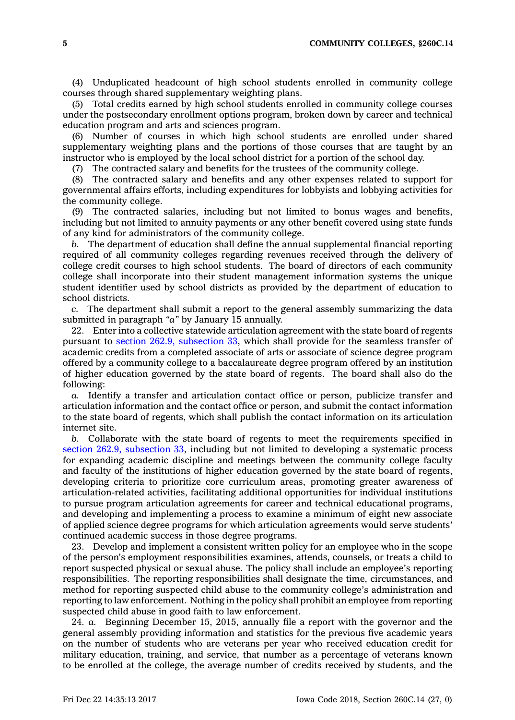**5 COMMUNITY COLLEGES, §260C.14**

(4) Unduplicated headcount of high school students enrolled in community college courses through shared supplementary weighting plans.

(5) Total credits earned by high school students enrolled in community college courses under the postsecondary enrollment options program, broken down by career and technical education program and arts and sciences program.

(6) Number of courses in which high school students are enrolled under shared supplementary weighting plans and the portions of those courses that are taught by an instructor who is employed by the local school district for <sup>a</sup> portion of the school day.

(7) The contracted salary and benefits for the trustees of the community college.

(8) The contracted salary and benefits and any other expenses related to support for governmental affairs efforts, including expenditures for lobbyists and lobbying activities for the community college.

(9) The contracted salaries, including but not limited to bonus wages and benefits, including but not limited to annuity payments or any other benefit covered using state funds of any kind for administrators of the community college.

*b.* The department of education shall define the annual supplemental financial reporting required of all community colleges regarding revenues received through the delivery of college credit courses to high school students. The board of directors of each community college shall incorporate into their student management information systems the unique student identifier used by school districts as provided by the department of education to school districts.

*c.* The department shall submit <sup>a</sup> report to the general assembly summarizing the data submitted in paragraph *"a"* by January 15 annually.

22. Enter into <sup>a</sup> collective statewide articulation agreement with the state board of regents pursuant to section 262.9, [subsection](https://www.legis.iowa.gov/docs/code/262.9.pdf) 33, which shall provide for the seamless transfer of academic credits from <sup>a</sup> completed associate of arts or associate of science degree program offered by <sup>a</sup> community college to <sup>a</sup> baccalaureate degree program offered by an institution of higher education governed by the state board of regents. The board shall also do the following:

*a.* Identify <sup>a</sup> transfer and articulation contact office or person, publicize transfer and articulation information and the contact office or person, and submit the contact information to the state board of regents, which shall publish the contact information on its articulation internet site.

*b.* Collaborate with the state board of regents to meet the requirements specified in section 262.9, [subsection](https://www.legis.iowa.gov/docs/code/262.9.pdf) 33, including but not limited to developing <sup>a</sup> systematic process for expanding academic discipline and meetings between the community college faculty and faculty of the institutions of higher education governed by the state board of regents, developing criteria to prioritize core curriculum areas, promoting greater awareness of articulation-related activities, facilitating additional opportunities for individual institutions to pursue program articulation agreements for career and technical educational programs, and developing and implementing <sup>a</sup> process to examine <sup>a</sup> minimum of eight new associate of applied science degree programs for which articulation agreements would serve students' continued academic success in those degree programs.

23. Develop and implement <sup>a</sup> consistent written policy for an employee who in the scope of the person's employment responsibilities examines, attends, counsels, or treats <sup>a</sup> child to report suspected physical or sexual abuse. The policy shall include an employee's reporting responsibilities. The reporting responsibilities shall designate the time, circumstances, and method for reporting suspected child abuse to the community college's administration and reporting to law enforcement. Nothing in the policy shall prohibit an employee from reporting suspected child abuse in good faith to law enforcement.

24. *a.* Beginning December 15, 2015, annually file <sup>a</sup> report with the governor and the general assembly providing information and statistics for the previous five academic years on the number of students who are veterans per year who received education credit for military education, training, and service, that number as <sup>a</sup> percentage of veterans known to be enrolled at the college, the average number of credits received by students, and the